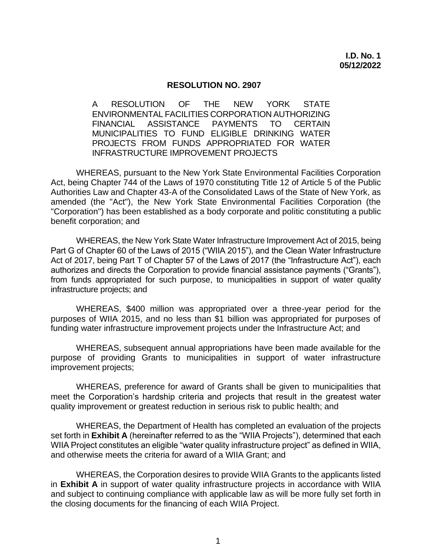#### **RESOLUTION NO. 2907**

 A RESOLUTION OF THE NEW YORK STATE **PAYMENTS**  MUNICIPALITIES TO FUND ELIGIBLE DRINKING WATER PROJECTS FROM FUNDS APPROPRIATED FOR WATER ENVIRONMENTAL FACILITIES CORPORATION AUTHORIZING FINANCIAL ASSISTANCE PAYMENTS TO CERTAIN INFRASTRUCTURE IMPROVEMENT PROJECTS

 WHEREAS, pursuant to the New York State Environmental Facilities Corporation Act, being Chapter 744 of the Laws of 1970 constituting Title 12 of Article 5 of the Public Authorities Law and Chapter 43-A of the Consolidated Laws of the State of New York, as amended (the "Act"), the New York State Environmental Facilities Corporation (the "Corporation") has been established as a body corporate and politic constituting a public benefit corporation; and

 WHEREAS, the New York State Water Infrastructure Improvement Act of 2015, being Part G of Chapter 60 of the Laws of 2015 ("WIIA 2015"), and the Clean Water Infrastructure Act of 2017, being Part T of Chapter 57 of the Laws of 2017 (the "Infrastructure Act"), each authorizes and directs the Corporation to provide financial assistance payments ("Grants"), from funds appropriated for such purpose, to municipalities in support of water quality infrastructure projects; and

 WHEREAS, \$400 million was appropriated over a three-year period for the purposes of WIIA 2015, and no less than \$1 billion was appropriated for purposes of funding water infrastructure improvement projects under the Infrastructure Act; and

 WHEREAS, subsequent annual appropriations have been made available for the purpose of providing Grants to municipalities in support of water infrastructure improvement projects;

 WHEREAS, preference for award of Grants shall be given to municipalities that meet the Corporation's hardship criteria and projects that result in the greatest water quality improvement or greatest reduction in serious risk to public health; and

 WHEREAS, the Department of Health has completed an evaluation of the projects set forth in **Exhibit A** (hereinafter referred to as the "WIIA Projects"), determined that each WIIA Project constitutes an eligible "water quality infrastructure project" as defined in WIIA, and otherwise meets the criteria for award of a WIIA Grant; and

 WHEREAS, the Corporation desires to provide WIIA Grants to the applicants listed in **Exhibit A** in support of water quality infrastructure projects in accordance with WIIA and subject to continuing compliance with applicable law as will be more fully set forth in the closing documents for the financing of each WIIA Project.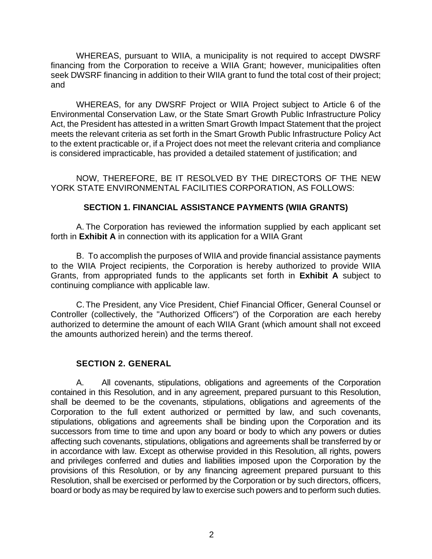WHEREAS, pursuant to WIIA, a municipality is not required to accept DWSRF financing from the Corporation to receive a WIIA Grant; however, municipalities often seek DWSRF financing in addition to their WIIA grant to fund the total cost of their project; and

 WHEREAS, for any DWSRF Project or WIIA Project subject to Article 6 of the Environmental Conservation Law, or the State Smart Growth Public Infrastructure Policy Act, the President has attested in a written Smart Growth Impact Statement that the project meets the relevant criteria as set forth in the Smart Growth Public Infrastructure Policy Act to the extent practicable or, if a Project does not meet the relevant criteria and compliance is considered impracticable, has provided a detailed statement of justification; and

 NOW, THEREFORE, BE IT RESOLVED BY THE DIRECTORS OF THE NEW YORK STATE ENVIRONMENTAL FACILITIES CORPORATION, AS FOLLOWS:

## **SECTION 1. FINANCIAL ASSISTANCE PAYMENTS (WIIA GRANTS)**

 A. The Corporation has reviewed the information supplied by each applicant set forth in **Exhibit A** in connection with its application for a WIIA Grant

 B. To accomplish the purposes of WIIA and provide financial assistance payments to the WIIA Project recipients, the Corporation is hereby authorized to provide WIIA Grants, from appropriated funds to the applicants set forth in **Exhibit A** subject to continuing compliance with applicable law.

 C.The President, any Vice President, Chief Financial Officer, General Counsel or Controller (collectively, the "Authorized Officers") of the Corporation are each hereby authorized to determine the amount of each WIIA Grant (which amount shall not exceed the amounts authorized herein) and the terms thereof.

# **SECTION 2. GENERAL**

 A. All covenants, stipulations, obligations and agreements of the Corporation contained in this Resolution, and in any agreement, prepared pursuant to this Resolution, shall be deemed to be the covenants, stipulations, obligations and agreements of the Corporation to the full extent authorized or permitted by law, and such covenants, stipulations, obligations and agreements shall be binding upon the Corporation and its successors from time to time and upon any board or body to which any powers or duties affecting such covenants, stipulations, obligations and agreements shall be transferred by or in accordance with law. Except as otherwise provided in this Resolution, all rights, powers and privileges conferred and duties and liabilities imposed upon the Corporation by the provisions of this Resolution, or by any financing agreement prepared pursuant to this Resolution, shall be exercised or performed by the Corporation or by such directors, officers, board or body as may be required by law to exercise such powers and to perform such duties.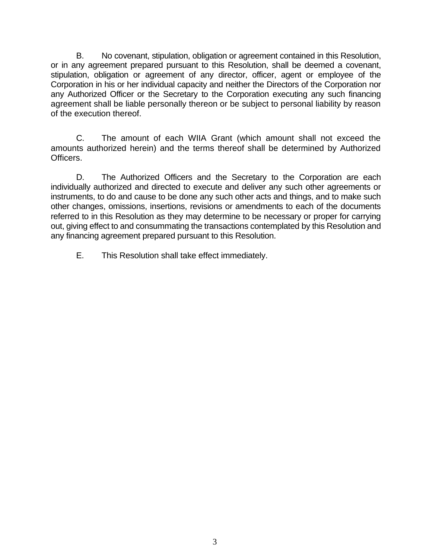B. No covenant, stipulation, obligation or agreement contained in this Resolution, or in any agreement prepared pursuant to this Resolution, shall be deemed a covenant, stipulation, obligation or agreement of any director, officer, agent or employee of the Corporation in his or her individual capacity and neither the Directors of the Corporation nor any Authorized Officer or the Secretary to the Corporation executing any such financing agreement shall be liable personally thereon or be subject to personal liability by reason of the execution thereof.

 C. The amount of each WIIA Grant (which amount shall not exceed the amounts authorized herein) and the terms thereof shall be determined by Authorized Officers.

 D. The Authorized Officers and the Secretary to the Corporation are each individually authorized and directed to execute and deliver any such other agreements or other changes, omissions, insertions, revisions or amendments to each of the documents referred to in this Resolution as they may determine to be necessary or proper for carrying out, giving effect to and consummating the transactions contemplated by this Resolution and any financing agreement prepared pursuant to this Resolution. instruments, to do and cause to be done any such other acts and things, and to make such

E. This Resolution shall take effect immediately.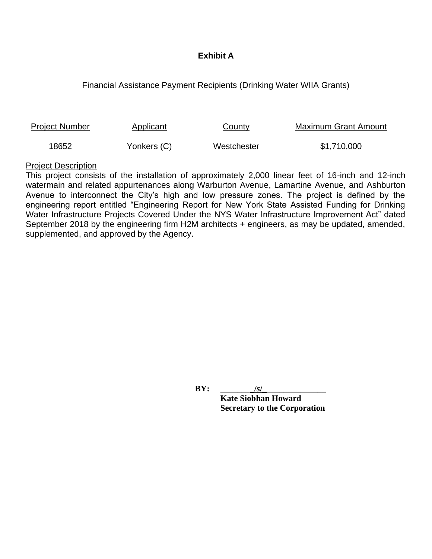## **Exhibit A**

## Financial Assistance Payment Recipients (Drinking Water WIIA Grants)

| <b>Project Number</b> | Applicant   | <b>County</b> | Maximum Grant Amount |
|-----------------------|-------------|---------------|----------------------|
| 18652                 | Yonkers (C) | Westchester   | \$1,710,000          |

#### Project Description

 This project consists of the installation of approximately 2,000 linear feet of 16-inch and 12-inch watermain and related appurtenances along Warburton Avenue, Lamartine Avenue, and Ashburton Avenue to interconnect the City's high and low pressure zones. The project is defined by the engineering report entitled "Engineering Report for New York State Assisted Funding for Drinking Water Infrastructure Projects Covered Under the NYS Water Infrastructure Improvement Act" dated September 2018 by the engineering firm H2M architects + engineers, as may be updated, amended, supplemented, and approved by the Agency.

**BY:** /*s*/

 **Kate Siobhan Howard Secretary to the Corporation**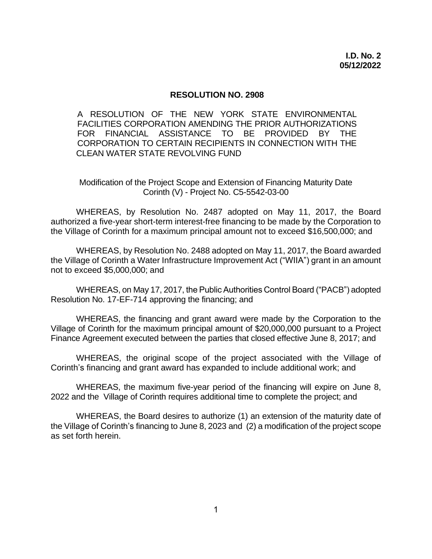#### **RESOLUTION NO. 2908**

 FACILITIES CORPORATION AMENDING THE PRIOR AUTHORIZATIONS CORPORATION TO CERTAIN RECIPIENTS IN CONNECTION WITH THE CLEAN WATER STATE REVOLVING FUND A RESOLUTION OF THE NEW YORK STATE ENVIRONMENTAL FOR FINANCIAL ASSISTANCE TO BE PROVIDED BY THE

 Modification of the Project Scope and Extension of Financing Maturity Date Corinth (V) - Project No. C5-5542-03-00

 WHEREAS, by Resolution No. 2487 adopted on May 11, 2017, the Board authorized a five-year short-term interest-free financing to be made by the Corporation to the Village of Corinth for a maximum principal amount not to exceed \$16,500,000; and

 WHEREAS, by Resolution No. 2488 adopted on May 11, 2017, the Board awarded the Village of Corinth a Water Infrastructure Improvement Act ("WIIA") grant in an amount not to exceed \$5,000,000; and

 WHEREAS, on May 17, 2017, the Public Authorities Control Board ("PACB") adopted Resolution No. 17-EF-714 approving the financing; and

 WHEREAS, the financing and grant award were made by the Corporation to the Village of Corinth for the maximum principal amount of \$20,000,000 pursuant to a Project Finance Agreement executed between the parties that closed effective June 8, 2017; and

 WHEREAS, the original scope of the project associated with the Village of Corinth's financing and grant award has expanded to include additional work; and

 WHEREAS, the maximum five-year period of the financing will expire on June 8, 2022 and the Village of Corinth requires additional time to complete the project; and

 WHEREAS, the Board desires to authorize (1) an extension of the maturity date of the Village of Corinth's financing to June 8, 2023 and (2) a modification of the project scope as set forth herein.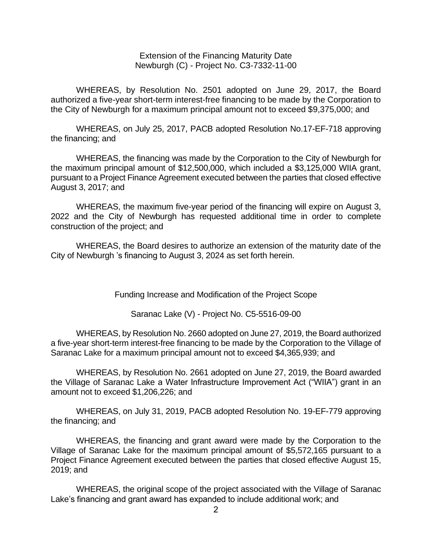Extension of the Financing Maturity Date Newburgh (C) - Project No. C3-7332-11-00

 WHEREAS, by Resolution No. 2501 adopted on June 29, 2017, the Board authorized a five-year short-term interest-free financing to be made by the Corporation to the City of Newburgh for a maximum principal amount not to exceed \$9,375,000; and

 WHEREAS, on July 25, 2017, PACB adopted Resolution No.17-EF-718 approving the financing; and

 WHEREAS, the financing was made by the Corporation to the City of Newburgh for the maximum principal amount of \$12,500,000, which included a \$3,125,000 WIIA grant, pursuant to a Project Finance Agreement executed between the parties that closed effective August 3, 2017; and

 WHEREAS, the maximum five-year period of the financing will expire on August 3, 2022 and the City of Newburgh has requested additional time in order to complete construction of the project; and

 WHEREAS, the Board desires to authorize an extension of the maturity date of the City of Newburgh 's financing to August 3, 2024 as set forth herein.

Funding Increase and Modification of the Project Scope

Saranac Lake (V) - Project No. C5-5516-09-00

 WHEREAS, by Resolution No. 2660 adopted on June 27, 2019, the Board authorized a five-year short-term interest-free financing to be made by the Corporation to the Village of Saranac Lake for a maximum principal amount not to exceed \$4,365,939; and

 WHEREAS, by Resolution No. 2661 adopted on June 27, 2019, the Board awarded the Village of Saranac Lake a Water Infrastructure Improvement Act ("WIIA") grant in an amount not to exceed \$1,206,226; and

 WHEREAS, on July 31, 2019, PACB adopted Resolution No. 19-EF-779 approving the financing; and

 WHEREAS, the financing and grant award were made by the Corporation to the Village of Saranac Lake for the maximum principal amount of \$5,572,165 pursuant to a Project Finance Agreement executed between the parties that closed effective August 15, 2019; and

 WHEREAS, the original scope of the project associated with the Village of Saranac Lake's financing and grant award has expanded to include additional work; and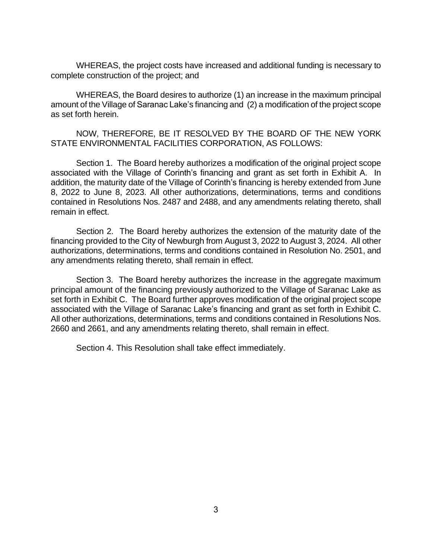WHEREAS, the project costs have increased and additional funding is necessary to complete construction of the project; and

 WHEREAS, the Board desires to authorize (1) an increase in the maximum principal amount of the Village of Saranac Lake's financing and (2) a modification of the project scope as set forth herein.

 NOW, THEREFORE, BE IT RESOLVED BY THE BOARD OF THE NEW YORK STATE ENVIRONMENTAL FACILITIES CORPORATION, AS FOLLOWS:

 Section 1. The Board hereby authorizes a modification of the original project scope associated with the Village of Corinth's financing and grant as set forth in Exhibit A. In addition, the maturity date of the Village of Corinth's financing is hereby extended from June 8, 2022 to June 8, 2023. All other authorizations, determinations, terms and conditions contained in Resolutions Nos. 2487 and 2488, and any amendments relating thereto, shall remain in effect.

 Section 2. The Board hereby authorizes the extension of the maturity date of the financing provided to the City of Newburgh from August 3, 2022 to August 3, 2024. All other authorizations, determinations, terms and conditions contained in Resolution No. 2501, and any amendments relating thereto, shall remain in effect.

 Section 3. The Board hereby authorizes the increase in the aggregate maximum principal amount of the financing previously authorized to the Village of Saranac Lake as set forth in Exhibit C. The Board further approves modification of the original project scope associated with the Village of Saranac Lake's financing and grant as set forth in Exhibit C. All other authorizations, determinations, terms and conditions contained in Resolutions Nos. 2660 and 2661, and any amendments relating thereto, shall remain in effect.

Section 4. This Resolution shall take effect immediately.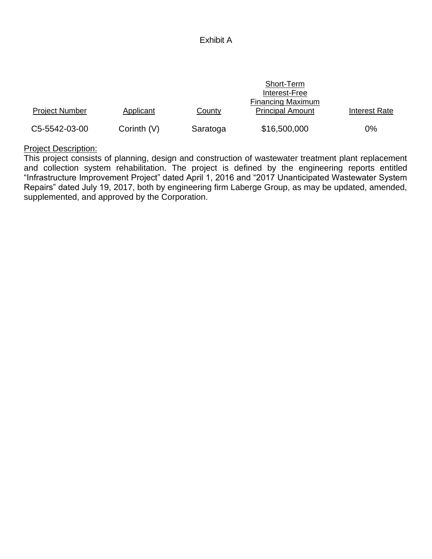### Exhibit A

|                       |               |          | Short-Term<br>Interest-Free                         |               |
|-----------------------|---------------|----------|-----------------------------------------------------|---------------|
| <b>Project Number</b> | Applicant     | County   | <b>Financing Maximum</b><br><b>Principal Amount</b> | Interest Rate |
| C5-5542-03-00         | Corinth $(V)$ | Saratoga | \$16,500,000                                        | 0%            |

# Project Description:

 This project consists of planning, design and construction of wastewater treatment plant replacement and collection system rehabilitation. The project is defined by the engineering reports entitled "Infrastructure Improvement Project" dated April 1, 2016 and "2017 Unanticipated Wastewater System Repairs" dated July 19, 2017, both by engineering firm Laberge Group, as may be updated, amended, supplemented, and approved by the Corporation.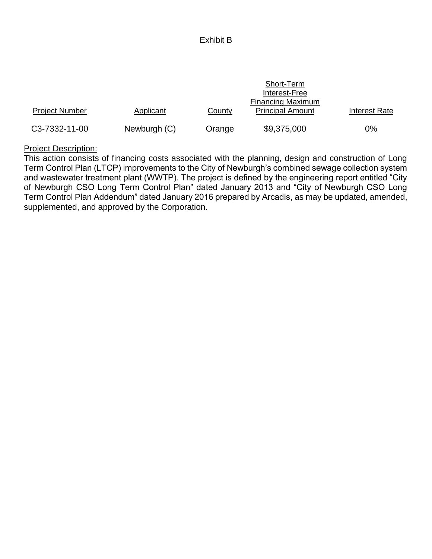### Exhibit B

|                       |              |        | Short-Term<br>Interest-Free                         |                      |
|-----------------------|--------------|--------|-----------------------------------------------------|----------------------|
| <b>Project Number</b> | Applicant    | County | <b>Financing Maximum</b><br><b>Principal Amount</b> | <b>Interest Rate</b> |
| C3-7332-11-00         | Newburgh (C) | Orange | \$9,375,000                                         | $0\%$                |

### Project Description:

 This action consists of financing costs associated with the planning, design and construction of Long Term Control Plan (LTCP) improvements to the City of Newburgh's combined sewage collection system and wastewater treatment plant (WWTP). The project is defined by the engineering report entitled "City of Newburgh CSO Long Term Control Plan" dated January 2013 and "City of Newburgh CSO Long Term Control Plan Addendum" dated January 2016 prepared by Arcadis, as may be updated, amended, supplemented, and approved by the Corporation.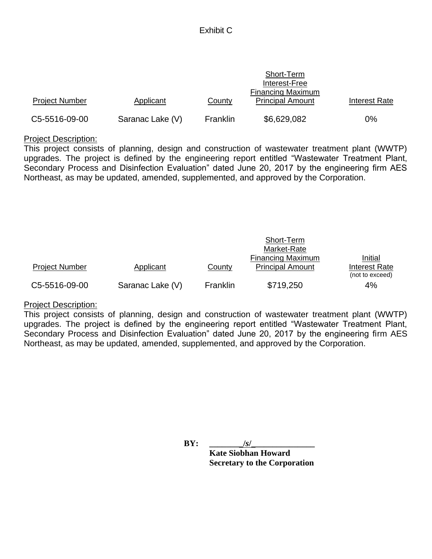# Exhibit C

|                       |                  |          | Short-Term<br>Interest-Free<br><b>Financing Maximum</b> |               |
|-----------------------|------------------|----------|---------------------------------------------------------|---------------|
| <b>Project Number</b> | Applicant        | County   | <b>Principal Amount</b>                                 | Interest Rate |
| C5-5516-09-00         | Saranac Lake (V) | Franklin | \$6,629,082                                             | 0%            |

### Project Description:

 This project consists of planning, design and construction of wastewater treatment plant (WWTP) upgrades. The project is defined by the engineering report entitled "Wastewater Treatment Plant, Secondary Process and Disinfection Evaluation" dated June 20, 2017 by the engineering firm AES Northeast, as may be updated, amended, supplemented, and approved by the Corporation.

|                       |                  |                 | Short-Term<br>Market-Rate                           |                          |
|-----------------------|------------------|-----------------|-----------------------------------------------------|--------------------------|
| <b>Project Number</b> | Applicant        | County          | <b>Financing Maximum</b><br><b>Principal Amount</b> | Initial<br>Interest Rate |
| C5-5516-09-00         | Saranac Lake (V) | <b>Franklin</b> | \$719,250                                           | (not to exceed)<br>4%    |

### Project Description:

 This project consists of planning, design and construction of wastewater treatment plant (WWTP) upgrades. The project is defined by the engineering report entitled "Wastewater Treatment Plant, Secondary Process and Disinfection Evaluation" dated June 20, 2017 by the engineering firm AES Northeast, as may be updated, amended, supplemented, and approved by the Corporation.

**BY: \_\_\_\_\_\_\_\_/***s***/\_\_\_\_\_\_\_\_\_\_\_\_\_\_\_**

 **Kate Siobhan Howard Secretary to the Corporation**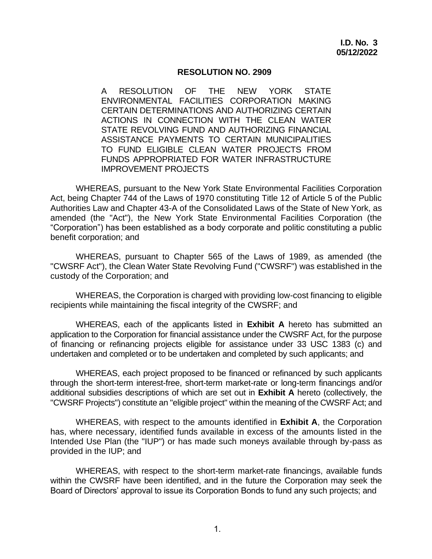#### **RESOLUTION NO. 2909**

 A RESOLUTION OF THE NEW YORK STATE ENVIRONMENTAL FACILITIES CORPORATION MAKING CERTAIN DETERMINATIONS AND AUTHORIZING CERTAIN ACTIONS IN CONNECTION WITH THE CLEAN WATER STATE REVOLVING FUND AND AUTHORIZING FINANCIAL ASSISTANCE PAYMENTS TO CERTAIN MUNICIPALITIES TO FUND ELIGIBLE CLEAN WATER PROJECTS FROM FUNDS APPROPRIATED FOR WATER INFRASTRUCTURE IMPROVEMENT PROJECTS

 WHEREAS, pursuant to the New York State Environmental Facilities Corporation Act, being Chapter 744 of the Laws of 1970 constituting Title 12 of Article 5 of the Public Authorities Law and Chapter 43-A of the Consolidated Laws of the State of New York, as amended (the "Act"), the New York State Environmental Facilities Corporation (the "Corporation") has been established as a body corporate and politic constituting a public benefit corporation; and

 WHEREAS, pursuant to Chapter 565 of the Laws of 1989, as amended (the "CWSRF Act"), the Clean Water State Revolving Fund ("CWSRF") was established in the custody of the Corporation; and

 WHEREAS, the Corporation is charged with providing low-cost financing to eligible recipients while maintaining the fiscal integrity of the CWSRF; and

 WHEREAS, each of the applicants listed in **Exhibit A** hereto has submitted an application to the Corporation for financial assistance under the CWSRF Act, for the purpose of financing or refinancing projects eligible for assistance under 33 USC 1383 (c) and undertaken and completed or to be undertaken and completed by such applicants; and

 WHEREAS, each project proposed to be financed or refinanced by such applicants through the short-term interest-free, short-term market-rate or long-term financings and/or additional subsidies descriptions of which are set out in **Exhibit A** hereto (collectively, the "CWSRF Projects") constitute an "eligible project" within the meaning of the CWSRF Act; and

 WHEREAS, with respect to the amounts identified in **Exhibit A**, the Corporation has, where necessary, identified funds available in excess of the amounts listed in the Intended Use Plan (the "IUP") or has made such moneys available through by-pass as provided in the IUP; and

 WHEREAS, with respect to the short-term market-rate financings, available funds within the CWSRF have been identified, and in the future the Corporation may seek the Board of Directors' approval to issue its Corporation Bonds to fund any such projects; and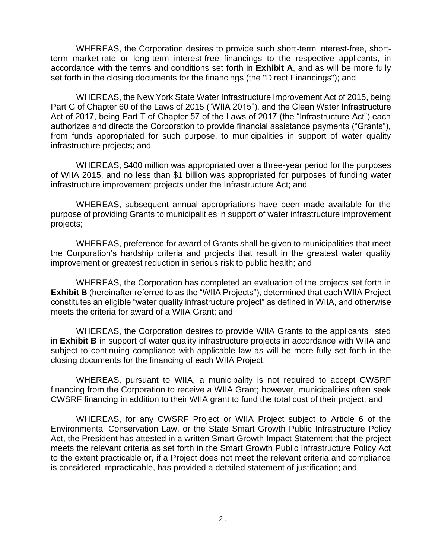WHEREAS, the Corporation desires to provide such short-term interest-free, short- term market-rate or long-term interest-free financings to the respective applicants, in accordance with the terms and conditions set forth in **Exhibit A**, and as will be more fully set forth in the closing documents for the financings (the "Direct Financings"); and

 WHEREAS, the New York State Water Infrastructure Improvement Act of 2015, being Part G of Chapter 60 of the Laws of 2015 ("WIIA 2015"), and the Clean Water Infrastructure Act of 2017, being Part T of Chapter 57 of the Laws of 2017 (the "Infrastructure Act") each authorizes and directs the Corporation to provide financial assistance payments ("Grants"), from funds appropriated for such purpose, to municipalities in support of water quality infrastructure projects; and

 WHEREAS, \$400 million was appropriated over a three-year period for the purposes of WIIA 2015, and no less than \$1 billion was appropriated for purposes of funding water infrastructure improvement projects under the Infrastructure Act; and

 WHEREAS, subsequent annual appropriations have been made available for the purpose of providing Grants to municipalities in support of water infrastructure improvement projects;

 WHEREAS, preference for award of Grants shall be given to municipalities that meet the Corporation's hardship criteria and projects that result in the greatest water quality improvement or greatest reduction in serious risk to public health; and

 WHEREAS, the Corporation has completed an evaluation of the projects set forth in **Exhibit B** (hereinafter referred to as the "WIIA Projects"), determined that each WIIA Project constitutes an eligible "water quality infrastructure project" as defined in WIIA, and otherwise meets the criteria for award of a WIIA Grant; and

 WHEREAS, the Corporation desires to provide WIIA Grants to the applicants listed in **Exhibit B** in support of water quality infrastructure projects in accordance with WIIA and subject to continuing compliance with applicable law as will be more fully set forth in the closing documents for the financing of each WIIA Project.

 WHEREAS, pursuant to WIIA, a municipality is not required to accept CWSRF financing from the Corporation to receive a WIIA Grant; however, municipalities often seek CWSRF financing in addition to their WIIA grant to fund the total cost of their project; and

 WHEREAS, for any CWSRF Project or WIIA Project subject to Article 6 of the Environmental Conservation Law, or the State Smart Growth Public Infrastructure Policy Act, the President has attested in a written Smart Growth Impact Statement that the project meets the relevant criteria as set forth in the Smart Growth Public Infrastructure Policy Act to the extent practicable or, if a Project does not meet the relevant criteria and compliance is considered impracticable, has provided a detailed statement of justification; and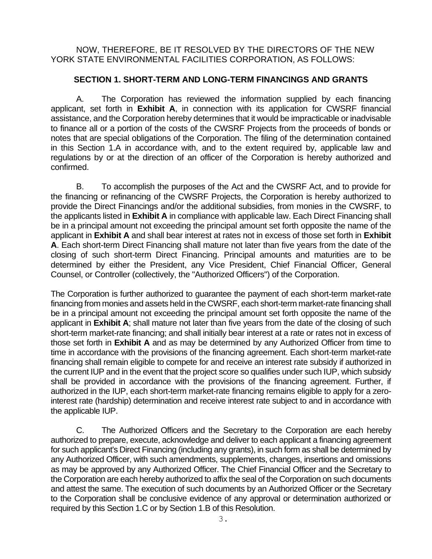NOW, THEREFORE, BE IT RESOLVED BY THE DIRECTORS OF THE NEW YORK STATE ENVIRONMENTAL FACILITIES CORPORATION, AS FOLLOWS:

### **SECTION 1. SHORT-TERM AND LONG-TERM FINANCINGS AND GRANTS**

 A. The Corporation has reviewed the information supplied by each financing applicant, set forth in **Exhibit A**, in connection with its application for CWSRF financial assistance, and the Corporation hereby determines that it would be impracticable or inadvisable to finance all or a portion of the costs of the CWSRF Projects from the proceeds of bonds or notes that are special obligations of the Corporation. The filing of the determination contained in this Section 1.A in accordance with, and to the extent required by, applicable law and regulations by or at the direction of an officer of the Corporation is hereby authorized and confirmed.

 B. To accomplish the purposes of the Act and the CWSRF Act, and to provide for the financing or refinancing of the CWSRF Projects, the Corporation is hereby authorized to provide the Direct Financings and/or the additional subsidies, from monies in the CWSRF, to the applicants listed in **Exhibit A** in compliance with applicable law. Each Direct Financing shall be in a principal amount not exceeding the principal amount set forth opposite the name of the applicant in **Exhibit A** and shall bear interest at rates not in excess of those set forth in **Exhibit A**. Each short-term Direct Financing shall mature not later than five years from the date of the closing of such short-term Direct Financing. Principal amounts and maturities are to be determined by either the President, any Vice President, Chief Financial Officer, General Counsel, or Controller (collectively, the "Authorized Officers") of the Corporation.

 The Corporation is further authorized to guarantee the payment of each short-term market-rate financing from monies and assets held in the CWSRF, each short-term market-rate financing shall be in a principal amount not exceeding the principal amount set forth opposite the name of the applicant in **Exhibit A**; shall mature not later than five years from the date of the closing of such short-term market-rate financing; and shall initially bear interest at a rate or rates not in excess of those set forth in **Exhibit A** and as may be determined by any Authorized Officer from time to time in accordance with the provisions of the financing agreement. Each short-term market-rate financing shall remain eligible to compete for and receive an interest rate subsidy if authorized in the current IUP and in the event that the project score so qualifies under such IUP, which subsidy shall be provided in accordance with the provisions of the financing agreement. Further, if authorized in the IUP, each short-term market-rate financing remains eligible to apply for a zero- interest rate (hardship) determination and receive interest rate subject to and in accordance with the applicable IUP.

 C. The Authorized Officers and the Secretary to the Corporation are each hereby authorized to prepare, execute, acknowledge and deliver to each applicant a financing agreement for such applicant's Direct Financing (including any grants), in such form as shall be determined by any Authorized Officer, with such amendments, supplements, changes, insertions and omissions as may be approved by any Authorized Officer. The Chief Financial Officer and the Secretary to the Corporation are each hereby authorized to affix the seal of the Corporation on such documents and attest the same. The execution of such documents by an Authorized Officer or the Secretary to the Corporation shall be conclusive evidence of any approval or determination authorized or required by this Section 1.C or by Section 1.B of this Resolution.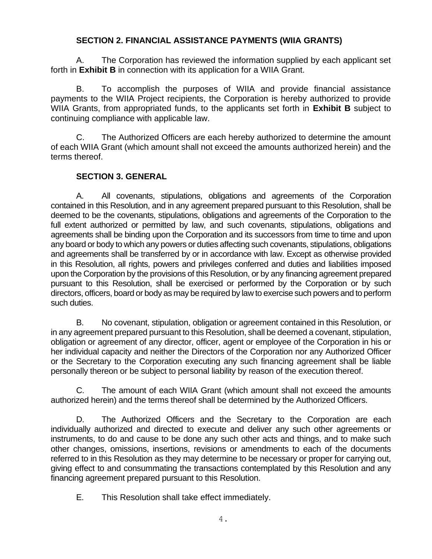# **SECTION 2. FINANCIAL ASSISTANCE PAYMENTS (WIIA GRANTS)**

 A. The Corporation has reviewed the information supplied by each applicant set forth in **Exhibit B** in connection with its application for a WIIA Grant.

 B. To accomplish the purposes of WIIA and provide financial assistance payments to the WIIA Project recipients, the Corporation is hereby authorized to provide WIIA Grants, from appropriated funds, to the applicants set forth in **Exhibit B** subject to continuing compliance with applicable law.

 C. The Authorized Officers are each hereby authorized to determine the amount of each WIIA Grant (which amount shall not exceed the amounts authorized herein) and the terms thereof.

# **SECTION 3. GENERAL**

 A. All covenants, stipulations, obligations and agreements of the Corporation contained in this Resolution, and in any agreement prepared pursuant to this Resolution, shall be deemed to be the covenants, stipulations, obligations and agreements of the Corporation to the full extent authorized or permitted by law, and such covenants, stipulations, obligations and agreements shall be binding upon the Corporation and its successors from time to time and upon any board or body to which any powers or duties affecting such covenants, stipulations, obligations in this Resolution, all rights, powers and privileges conferred and duties and liabilities imposed upon the Corporation by the provisions of this Resolution, or by any financing agreement prepared pursuant to this Resolution, shall be exercised or performed by the Corporation or by such directors, officers, board or body as may be required by law to exercise such powers and to perform and agreements shall be transferred by or in accordance with law. Except as otherwise provided such duties.

 B. No covenant, stipulation, obligation or agreement contained in this Resolution, or in any agreement prepared pursuant to this Resolution, shall be deemed a covenant, stipulation, obligation or agreement of any director, officer, agent or employee of the Corporation in his or her individual capacity and neither the Directors of the Corporation nor any Authorized Officer or the Secretary to the Corporation executing any such financing agreement shall be liable personally thereon or be subject to personal liability by reason of the execution thereof.

 C. The amount of each WIIA Grant (which amount shall not exceed the amounts authorized herein) and the terms thereof shall be determined by the Authorized Officers.

 D. The Authorized Officers and the Secretary to the Corporation are each individually authorized and directed to execute and deliver any such other agreements or instruments, to do and cause to be done any such other acts and things, and to make such other changes, omissions, insertions, revisions or amendments to each of the documents referred to in this Resolution as they may determine to be necessary or proper for carrying out, giving effect to and consummating the transactions contemplated by this Resolution and any financing agreement prepared pursuant to this Resolution.

E. This Resolution shall take effect immediately.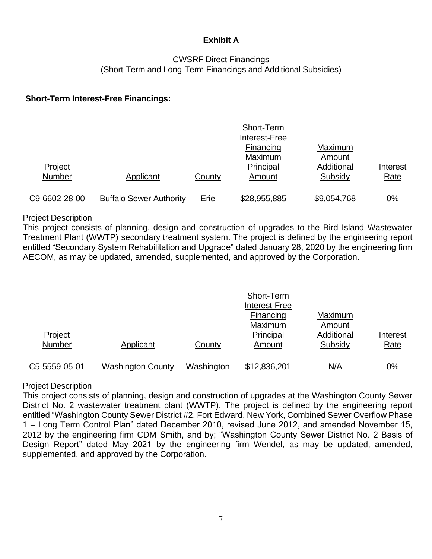# **Exhibit A**

## CWSRF Direct Financings (Short-Term and Long-Term Financings and Additional Subsidies)

## **Short-Term Interest-Free Financings:**

|                          |                                |        | Short-Term<br>Interest-Free |                       |                  |
|--------------------------|--------------------------------|--------|-----------------------------|-----------------------|------------------|
|                          |                                |        | Financing<br>Maximum        | Maximum<br>Amount     |                  |
| Project<br><b>Number</b> | Applicant                      | County | Principal<br>Amount         | Additional<br>Subsidy | Interest<br>Rate |
| C9-6602-28-00            | <b>Buffalo Sewer Authority</b> | Erie   | \$28,955,885                | \$9,054,768           | 0%               |

#### Project Description

 This project consists of planning, design and construction of upgrades to the Bird Island Wastewater Treatment Plant (WWTP) secondary treatment system. The project is defined by the engineering report entitled "Secondary System Rehabilitation and Upgrade" dated January 28, 2020 by the engineering firm AECOM, as may be updated, amended, supplemented, and approved by the Corporation.

|               |                          |               | Short-Term    |            |             |
|---------------|--------------------------|---------------|---------------|------------|-------------|
|               |                          |               | Interest-Free |            |             |
|               |                          |               | Financing     | Maximum    |             |
|               |                          |               | Maximum       | Amount     |             |
| Project       |                          |               | Principal     | Additional | Interest    |
| Number        | Applicant                | <b>County</b> | Amount        | Subsidy    | <b>Rate</b> |
| C5-5559-05-01 | <b>Washington County</b> | Washington    | \$12,836,201  | N/A        | 0%          |

### Project Description

 This project consists of planning, design and construction of upgrades at the Washington County Sewer District No. 2 wastewater treatment plant (WWTP). The project is defined by the engineering report 1 – Long Term Control Plan" dated December 2010, revised June 2012, and amended November 15, 2012 by the engineering firm CDM Smith, and by; "Washington County Sewer District No. 2 Basis of Design Report" dated May 2021 by the engineering firm Wendel, as may be updated, amended, entitled "Washington County Sewer District #2, Fort Edward, New York, Combined Sewer Overflow Phase supplemented, and approved by the Corporation.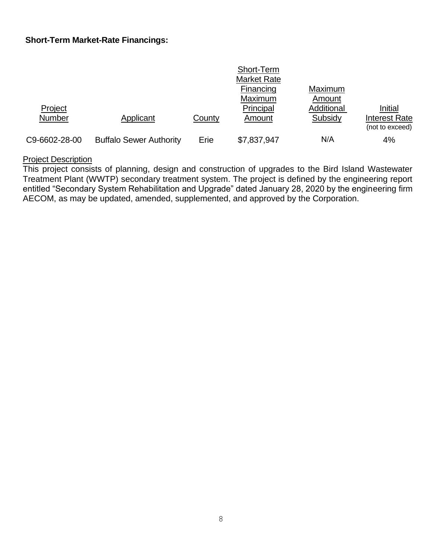## **Short-Term Market-Rate Financings:**

|                          |                                |        | Short-Term<br><b>Market Rate</b> |                       |                                             |
|--------------------------|--------------------------------|--------|----------------------------------|-----------------------|---------------------------------------------|
|                          |                                |        | Financing<br>Maximum             | Maximum<br>Amount     |                                             |
| Project<br><b>Number</b> | Applicant                      | County | Principal<br>Amount              | Additional<br>Subsidy | Initial<br>Interest Rate<br>(not to exceed) |
| C9-6602-28-00            | <b>Buffalo Sewer Authority</b> | Erie   | \$7,837,947                      | N/A                   | 4%                                          |

#### **Project Description**

 Treatment Plant (WWTP) secondary treatment system. The project is defined by the engineering report entitled "Secondary System Rehabilitation and Upgrade" dated January 28, 2020 by the engineering firm This project consists of planning, design and construction of upgrades to the Bird Island Wastewater AECOM, as may be updated, amended, supplemented, and approved by the Corporation.